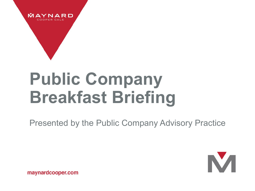

# **Public Company Breakfast Briefing**

Presented by the Public Company Advisory Practice



maynardcooper.com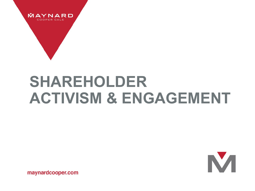

### **SHAREHOLDER ACTIVISM & ENGAGEMENT**



maynardcooper.com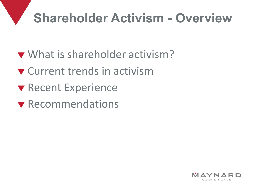#### **Shareholder Activism - Overview**

- What is shareholder activism?
- **v** Current trends in activism
- **V** Recent Experience
- **v** Recommendations

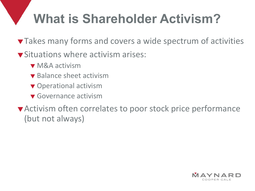#### **What is Shareholder Activism?**

- **Takes many forms and covers a wide spectrum of activities**
- **v** Situations where activism arises:
	- **v** M&A activism
	- $\blacktriangledown$  Balance sheet activism
	- **v** Operational activism
	- **v** Governance activism

Activism often correlates to poor stock price performance (but not always)

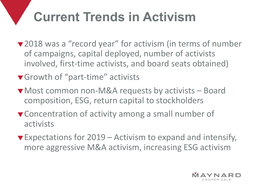### **Current Trends in Activism**

- ▼2018 was a "record year" for activism (in terms of number of campaigns, capital deployed, number of activists involved, first-time activists, and board seats obtained)
- ▼ Growth of "part-time" activists
- ▼ Most common non-M&A requests by activists Board composition, ESG, return capital to stockholders
- **v** Concentration of activity among a small number of activists
- $\blacktriangledown$  Expectations for 2019 Activism to expand and intensify, more aggressive M&A activism, increasing ESG activism

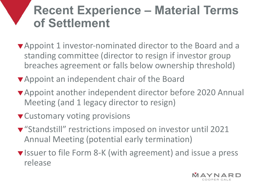#### **Recent Experience – Material Terms of Settlement**

- Appoint 1 investor-nominated director to the Board and a standing committee (director to resign if investor group breaches agreement or falls below ownership threshold)
- Appoint an independent chair of the Board
- Appoint another independent director before 2020 Annual Meeting (and 1 legacy director to resign)
- **v** Customary voting provisions
- "Standstill" restrictions imposed on investor until 2021 Annual Meeting (potential early termination)
- ▼ Issuer to file Form 8-K (with agreement) and issue a press release